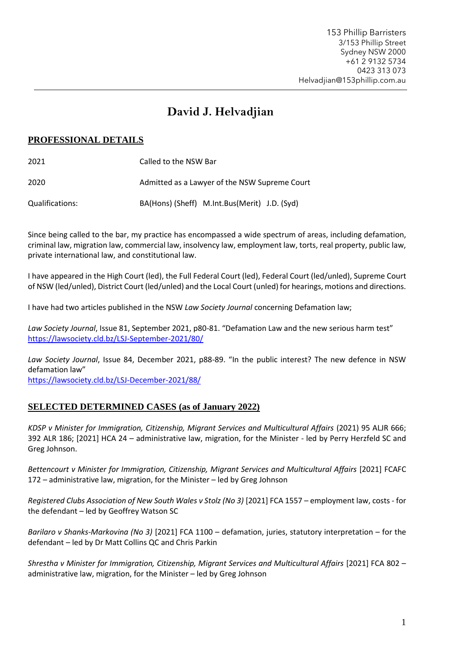# **David J. Helvadjian**

# **PROFESSIONAL DETAILS**

| 2021            | Called to the NSW Bar                         |
|-----------------|-----------------------------------------------|
| 2020            | Admitted as a Lawyer of the NSW Supreme Court |
| Qualifications: | BA(Hons) (Sheff) M.Int.Bus(Merit) J.D. (Syd)  |

Since being called to the bar, my practice has encompassed a wide spectrum of areas, including defamation, criminal law, migration law, commercial law, insolvency law, employment law, torts, real property, public law, private international law, and constitutional law.

I have appeared in the High Court (led), the Full Federal Court (led), Federal Court (led/unled), Supreme Court of NSW (led/unled), District Court (led/unled) and the Local Court (unled) for hearings, motions and directions.

I have had two articles published in the NSW *Law Society Journal* concerning Defamation law;

*Law Society Journal*, Issue 81, September 2021, p80-81. "Defamation Law and the new serious harm test" <https://lawsociety.cld.bz/LSJ-September-2021/80/>

*Law Society Journal*, Issue 84, December 2021, p88-89. "In the public interest? The new defence in NSW defamation law"

<https://lawsociety.cld.bz/LSJ-December-2021/88/>

# **SELECTED DETERMINED CASES (as of January 2022)**

*KDSP v Minister for Immigration, Citizenship, Migrant Services and Multicultural Affairs* (2021) 95 ALJR 666; 392 ALR 186; [2021] HCA 24 – administrative law, migration, for the Minister - led by Perry Herzfeld SC and Greg Johnson.

*Bettencourt v Minister for Immigration, Citizenship, Migrant Services and Multicultural Affairs* [2021] FCAFC 172 – administrative law, migration, for the Minister – led by Greg Johnson

*Registered Clubs Association of New South Wales v Stolz (No 3)* [2021] FCA 1557 – employment law, costs - for the defendant – led by Geoffrey Watson SC

*Barilaro v Shanks-Markovina (No 3)* [2021] FCA 1100 – defamation, juries, statutory interpretation – for the defendant – led by Dr Matt Collins QC and Chris Parkin

*Shrestha v Minister for Immigration, Citizenship, Migrant Services and Multicultural Affairs* [2021] FCA 802 – administrative law, migration, for the Minister – led by Greg Johnson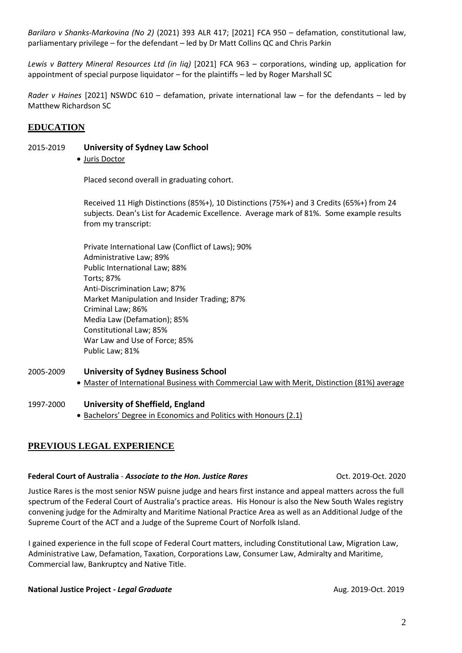*Barilaro v Shanks-Markovina (No 2)* (2021) 393 ALR 417; [2021] FCA 950 – defamation, constitutional law, parliamentary privilege – for the defendant – led by Dr Matt Collins QC and Chris Parkin

*Lewis v Battery Mineral Resources Ltd (in liq)* [2021] FCA 963 – corporations, winding up, application for appointment of special purpose liquidator – for the plaintiffs – led by Roger Marshall SC

*Rader v Haines* [2021] NSWDC 610 – defamation, private international law – for the defendants – led by Matthew Richardson SC

# **EDUCATION**

### 2015-2019 **University of Sydney Law School**

• Juris Doctor

Placed second overall in graduating cohort.

Received 11 High Distinctions (85%+), 10 Distinctions (75%+) and 3 Credits (65%+) from 24 subjects. Dean's List for Academic Excellence. Average mark of 81%. Some example results from my transcript:

Private International Law (Conflict of Laws); 90% Administrative Law; 89% Public International Law; 88% Torts; 87% Anti-Discrimination Law; 87% Market Manipulation and Insider Trading; 87% Criminal Law; 86% Media Law (Defamation); 85% Constitutional Law; 85% War Law and Use of Force; 85% Public Law; 81%

- 2005-2009 **University of Sydney Business School**
	- Master of International Business with Commercial Law with Merit, Distinction (81%) average

### 1997-2000 **University of Sheffield, England**

• Bachelors' Degree in Economics and Politics with Honours (2.1)

# **PREVIOUS LEGAL EXPERIENCE**

### **Federal Court of Australia** *- Associate to the Hon. Justice Rares* Oct. 2019-Oct. 2020

Justice Rares is the most senior NSW puisne judge and hears first instance and appeal matters across the full spectrum of the Federal Court of Australia's practice areas. His Honour is also the New South Wales registry convening judge for the Admiralty and Maritime National Practice Area as well as an Additional Judge of the Supreme Court of the ACT and a Judge of the Supreme Court of Norfolk Island.

I gained experience in the full scope of Federal Court matters, including Constitutional Law, Migration Law, Administrative Law, Defamation, Taxation, Corporations Law, Consumer Law, Admiralty and Maritime, Commercial law, Bankruptcy and Native Title.

### **National Justice Project -** *Legal Graduate* Aug. 2019-Oct. 2019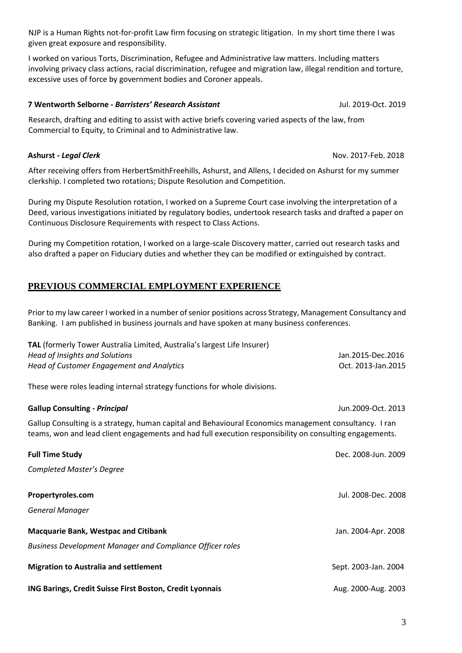NJP is a Human Rights not-for-profit Law firm focusing on strategic litigation. In my short time there I was given great exposure and responsibility.

I worked on various Torts, Discrimination, Refugee and Administrative law matters. Including matters involving privacy class actions, racial discrimination, refugee and migration law, illegal rendition and torture, excessive uses of force by government bodies and Coroner appeals.

# **7 Wentworth Selborne -** *Barristers' Research Assistant* Jul. 2019-Oct. 2019

Research, drafting and editing to assist with active briefs covering varied aspects of the law, from Commercial to Equity, to Criminal and to Administrative law.

After receiving offers from HerbertSmithFreehills, Ashurst, and Allens, I decided on Ashurst for my summer clerkship. I completed two rotations; Dispute Resolution and Competition.

During my Dispute Resolution rotation, I worked on a Supreme Court case involving the interpretation of a Deed, various investigations initiated by regulatory bodies, undertook research tasks and drafted a paper on Continuous Disclosure Requirements with respect to Class Actions.

During my Competition rotation, I worked on a large-scale Discovery matter, carried out research tasks and also drafted a paper on Fiduciary duties and whether they can be modified or extinguished by contract.

# **PREVIOUS COMMERCIAL EMPLOYMENT EXPERIENCE**

Prior to my law career I worked in a number of senior positions across Strategy, Management Consultancy and Banking. I am published in business journals and have spoken at many business conferences.

| TAL (formerly Tower Australia Limited, Australia's largest Life Insurer)<br>Head of Insights and Solutions<br>Head of Customer Engagement and Analytics                                                           | Jan.2015-Dec.2016<br>Oct. 2013-Jan.2015 |  |
|-------------------------------------------------------------------------------------------------------------------------------------------------------------------------------------------------------------------|-----------------------------------------|--|
| These were roles leading internal strategy functions for whole divisions.                                                                                                                                         |                                         |  |
| <b>Gallup Consulting - Principal</b>                                                                                                                                                                              | Jun.2009-Oct. 2013                      |  |
| Gallup Consulting is a strategy, human capital and Behavioural Economics management consultancy. I ran<br>teams, won and lead client engagements and had full execution responsibility on consulting engagements. |                                         |  |
| <b>Full Time Study</b>                                                                                                                                                                                            | Dec. 2008-Jun. 2009                     |  |
| <b>Completed Master's Degree</b>                                                                                                                                                                                  |                                         |  |
| Propertyroles.com                                                                                                                                                                                                 | Jul. 2008-Dec. 2008                     |  |
| <b>General Manager</b>                                                                                                                                                                                            |                                         |  |
| <b>Macquarie Bank, Westpac and Citibank</b>                                                                                                                                                                       | Jan. 2004-Apr. 2008                     |  |
| <b>Business Development Manager and Compliance Officer roles</b>                                                                                                                                                  |                                         |  |
| <b>Migration to Australia and settlement</b>                                                                                                                                                                      | Sept. 2003-Jan. 2004                    |  |
| ING Barings, Credit Suisse First Boston, Credit Lyonnais                                                                                                                                                          | Aug. 2000-Aug. 2003                     |  |

**Ashurst -** *Legal Clerk* Nov. 2017-Feb. 2018